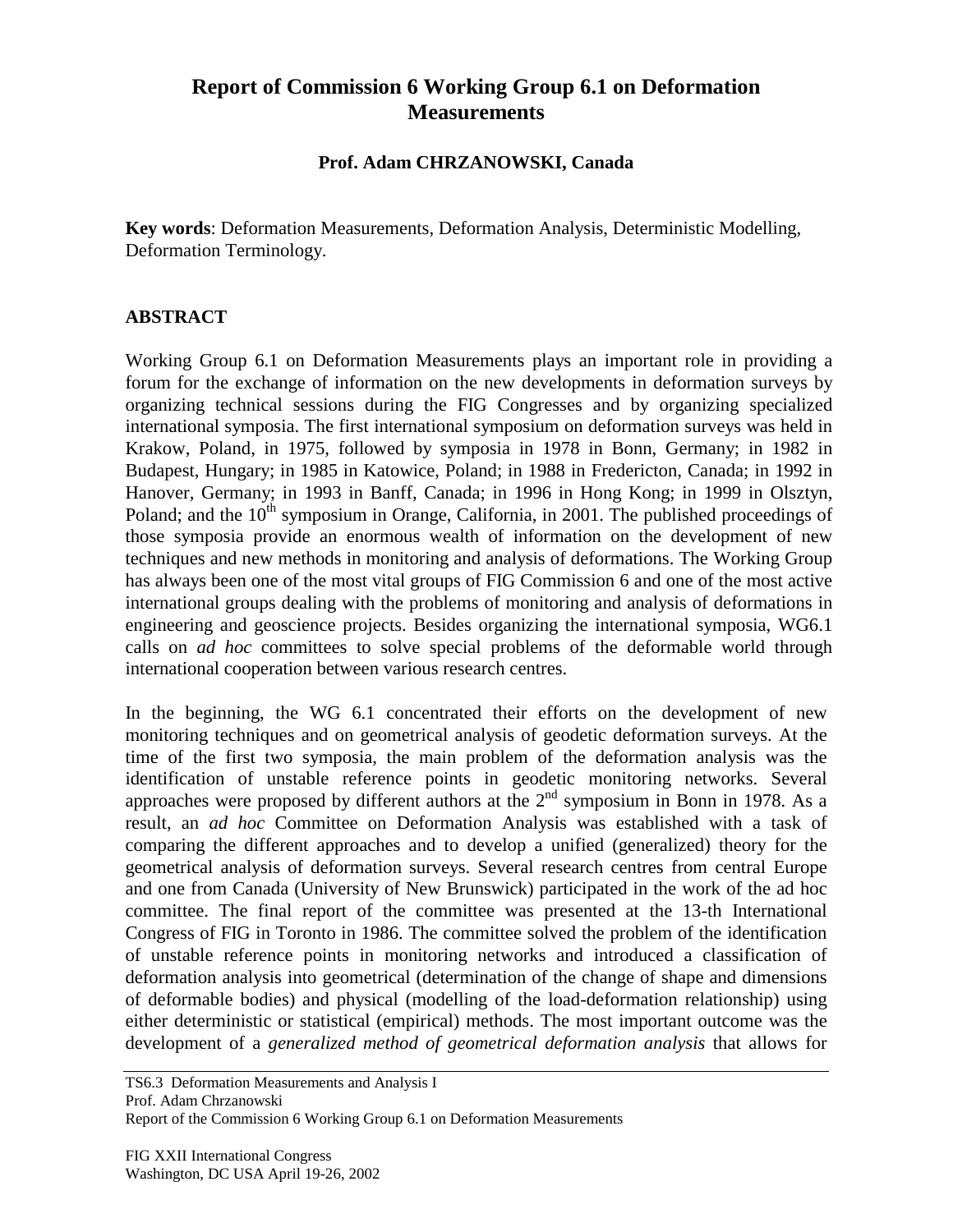## **Report of Commission 6 Working Group 6.1 on Deformation Measurements**

## **Prof. Adam CHRZANOWSKI, Canada**

**Key words**: Deformation Measurements, Deformation Analysis, Deterministic Modelling, Deformation Terminology.

## **ABSTRACT**

Working Group 6.1 on Deformation Measurements plays an important role in providing a forum for the exchange of information on the new developments in deformation surveys by organizing technical sessions during the FIG Congresses and by organizing specialized international symposia. The first international symposium on deformation surveys was held in Krakow, Poland, in 1975, followed by symposia in 1978 in Bonn, Germany; in 1982 in Budapest, Hungary; in 1985 in Katowice, Poland; in 1988 in Fredericton, Canada; in 1992 in Hanover, Germany; in 1993 in Banff, Canada; in 1996 in Hong Kong; in 1999 in Olsztyn, Poland; and the  $10<sup>th</sup>$  symposium in Orange, California, in 2001. The published proceedings of those symposia provide an enormous wealth of information on the development of new techniques and new methods in monitoring and analysis of deformations. The Working Group has always been one of the most vital groups of FIG Commission 6 and one of the most active international groups dealing with the problems of monitoring and analysis of deformations in engineering and geoscience projects. Besides organizing the international symposia, WG6.1 calls on *ad hoc* committees to solve special problems of the deformable world through international cooperation between various research centres.

In the beginning, the WG 6.1 concentrated their efforts on the development of new monitoring techniques and on geometrical analysis of geodetic deformation surveys. At the time of the first two symposia, the main problem of the deformation analysis was the identification of unstable reference points in geodetic monitoring networks. Several approaches were proposed by different authors at the  $2<sup>nd</sup>$  symposium in Bonn in 1978. As a result, an *ad hoc* Committee on Deformation Analysis was established with a task of comparing the different approaches and to develop a unified (generalized) theory for the geometrical analysis of deformation surveys. Several research centres from central Europe and one from Canada (University of New Brunswick) participated in the work of the ad hoc committee. The final report of the committee was presented at the 13-th International Congress of FIG in Toronto in 1986. The committee solved the problem of the identification of unstable reference points in monitoring networks and introduced a classification of deformation analysis into geometrical (determination of the change of shape and dimensions of deformable bodies) and physical (modelling of the load-deformation relationship) using either deterministic or statistical (empirical) methods. The most important outcome was the development of a *generalized method of geometrical deformation analysis* that allows for

TS6.3 Deformation Measurements and Analysis I Prof. Adam Chrzanowski Report of the Commission 6 Working Group 6.1 on Deformation Measurements